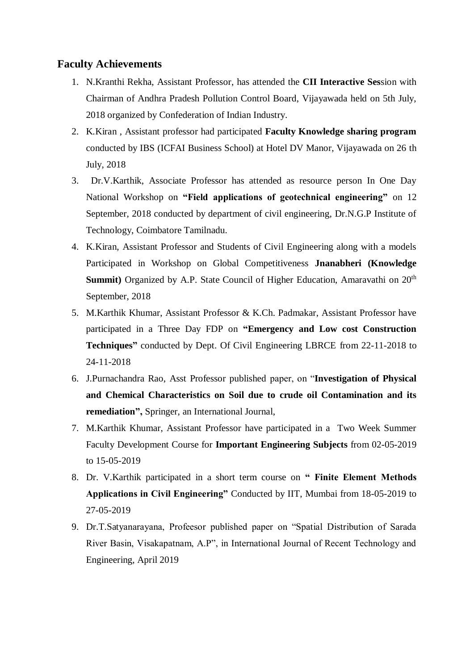## **Faculty Achievements**

- 1. N.Kranthi Rekha, Assistant Professor, has attended the **CII Interactive Ses**sion with Chairman of Andhra Pradesh Pollution Control Board, Vijayawada held on 5th July, 2018 organized by Confederation of Indian Industry.
- 2. K.Kiran , Assistant professor had participated **Faculty Knowledge sharing program**  conducted by IBS (ICFAI Business School) at Hotel DV Manor, Vijayawada on 26 th July, 2018
- 3. Dr.V.Karthik, Associate Professor has attended as resource person In One Day National Workshop on **"Field applications of geotechnical engineering"** on 12 September, 2018 conducted by department of civil engineering, Dr.N.G.P Institute of Technology, Coimbatore Tamilnadu.
- 4. K.Kiran, Assistant Professor and Students of Civil Engineering along with a models Participated in Workshop on Global Competitiveness **Jnanabheri (Knowledge Summit**) Organized by A.P. State Council of Higher Education, Amaravathi on 20<sup>th</sup> September, 2018
- 5. M.Karthik Khumar, Assistant Professor & K.Ch. Padmakar, Assistant Professor have participated in a Three Day FDP on **"Emergency and Low cost Construction Techniques"** conducted by Dept. Of Civil Engineering LBRCE from 22-11-2018 to 24-11-2018
- 6. J.Purnachandra Rao, Asst Professor published paper, on "**Investigation of Physical and Chemical Characteristics on Soil due to crude oil Contamination and its remediation",** Springer, an International Journal,
- 7. M.Karthik Khumar, Assistant Professor have participated in a Two Week Summer Faculty Development Course for **Important Engineering Subjects** from 02-05-2019 to 15-05-2019
- 8. Dr. V.Karthik participated in a short term course on **" Finite Element Methods Applications in Civil Engineering"** Conducted by IIT, Mumbai from 18-05-2019 to 27-05-2019
- 9. Dr.T.Satyanarayana, Profeesor published paper on "Spatial Distribution of Sarada River Basin, Visakapatnam, A.P", in International Journal of Recent Technology and Engineering, April 2019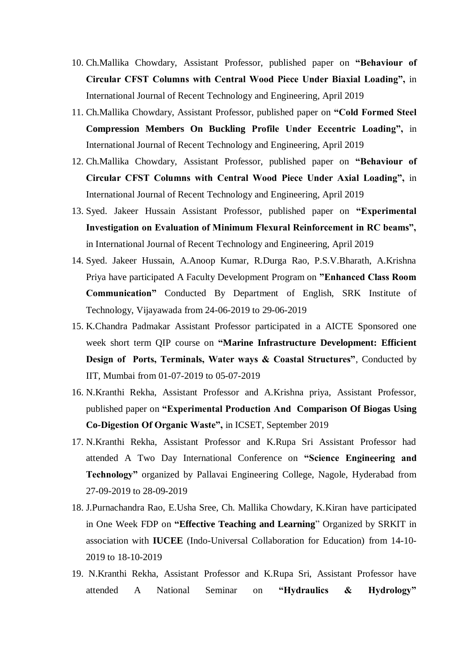- 10. Ch.Mallika Chowdary, Assistant Professor, published paper on **"Behaviour of Circular CFST Columns with Central Wood Piece Under Biaxial Loading",** in International Journal of Recent Technology and Engineering, April 2019
- 11. Ch.Mallika Chowdary, Assistant Professor, published paper on **"Cold Formed Steel Compression Members On Buckling Profile Under Eccentric Loading",** in International Journal of Recent Technology and Engineering, April 2019
- 12. Ch.Mallika Chowdary, Assistant Professor, published paper on **"Behaviour of Circular CFST Columns with Central Wood Piece Under Axial Loading",** in International Journal of Recent Technology and Engineering, April 2019
- 13. Syed. Jakeer Hussain Assistant Professor, published paper on **"Experimental Investigation on Evaluation of Minimum Flexural Reinforcement in RC beams",** in International Journal of Recent Technology and Engineering, April 2019
- 14. Syed. Jakeer Hussain, A.Anoop Kumar, R.Durga Rao, P.S.V.Bharath, A.Krishna Priya have participated A Faculty Development Program on **"Enhanced Class Room Communication"** Conducted By Department of English, SRK Institute of Technology, Vijayawada from 24-06-2019 to 29-06-2019
- 15. K.Chandra Padmakar Assistant Professor participated in a AICTE Sponsored one week short term QIP course on **"Marine Infrastructure Development: Efficient Design of Ports, Terminals, Water ways & Coastal Structures"**, Conducted by IIT, Mumbai from 01-07-2019 to 05-07-2019
- 16. N.Kranthi Rekha, Assistant Professor and A.Krishna priya, Assistant Professor, published paper on **"Experimental Production And Comparison Of Biogas Using Co-Digestion Of Organic Waste",** in ICSET, September 2019
- 17. N.Kranthi Rekha, Assistant Professor and K.Rupa Sri Assistant Professor had attended A Two Day International Conference on **"Science Engineering and Technology"** organized by Pallavai Engineering College, Nagole, Hyderabad from 27-09-2019 to 28-09-2019
- 18. J.Purnachandra Rao, E.Usha Sree, Ch. Mallika Chowdary, K.Kiran have participated in One Week FDP on **"Effective Teaching and Learning**" Organized by SRKIT in association with **IUCEE** (Indo-Universal Collaboration for Education) from 14-10- 2019 to 18-10-2019
- 19. N.Kranthi Rekha, Assistant Professor and K.Rupa Sri, Assistant Professor have attended A National Seminar on **"Hydraulics & Hydrology"**